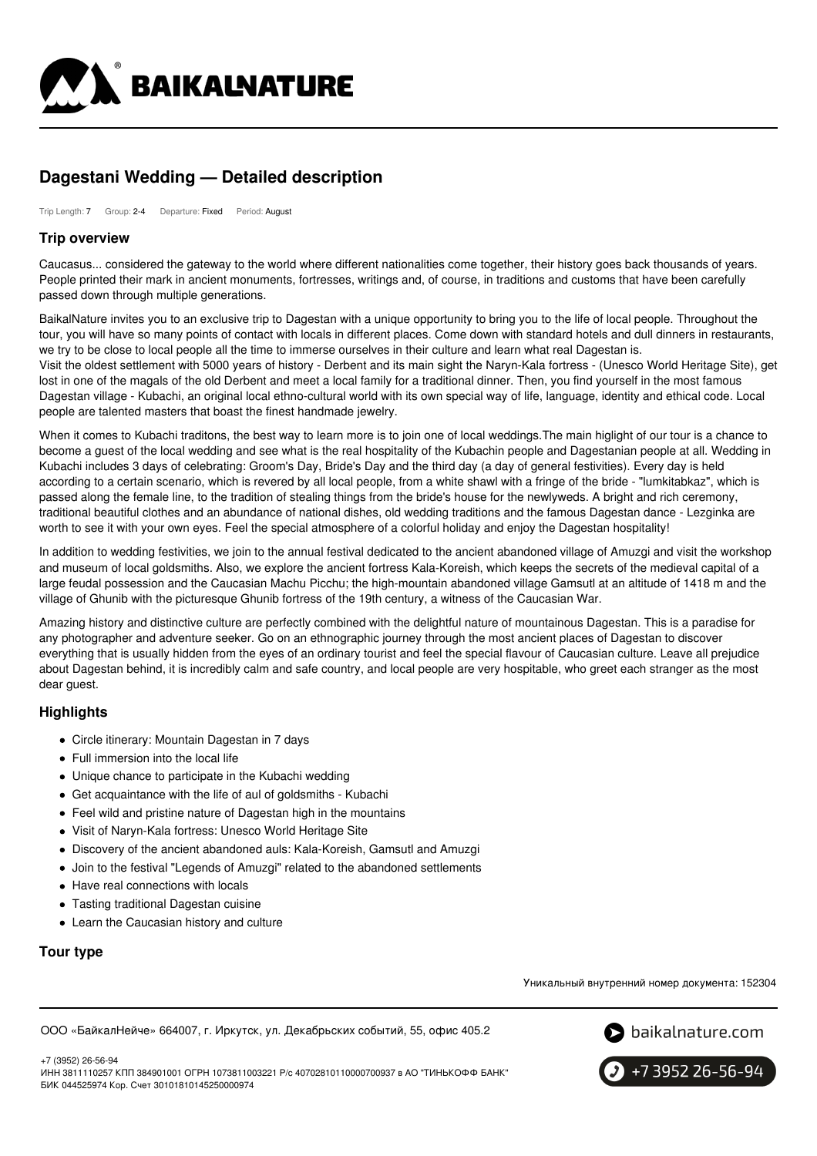

# **Dagestani Wedding — Detailed description**

Trip Length: 7 Group: 2-4 Departure: Fixed Period: August

## **Trip overview**

Caucasus... considered the gateway to the world where different nationalities come together, their history goes back thousands of years. People printed their mark in ancient monuments, fortresses, writings and, of course, in traditions and customs that have been carefully passed down through multiple generations.

BaikalNature invites you to an exclusive trip to Dagestan with a unique opportunity to bring you to the life of local people. Throughout the tour, you will have so many points of contact with locals in different places. Come down with standard hotels and dull dinners in restaurants, we try to be close to local people all the time to immerse ourselves in their culture and learn what real Dagestan is. Visit the oldest settlement with 5000 years of history - Derbent and its main sight the Naryn-Kala fortress - (Unesco World Heritage Site), get

lost in one of the magals of the old Derbent and meet a local family for a traditional dinner. Then, you find yourself in the most famous Dagestan village - Kubachi, an original local ethno-cultural world with its own special way of life, language, identity and ethical code. Local people are talented masters that boast the finest handmade jewelry.

When it comes to Kubachi traditons, the best way to learn more is to join one of local weddings.The main higlight of our tour is a chance to become a guest of the local wedding and see what is the real hospitality of the Kubachin people and Dagestanian people at all. Wedding in Kubachi includes 3 days of celebrating: Groom's Day, Bride's Day and the third day (a day of general festivities). Every day is held according to a certain scenario, which is revered by all local people, from a white shawl with a fringe of the bride - "lumkitabkaz", which is passed along the female line, to the tradition of stealing things from the bride's house for the newlyweds. A bright and rich ceremony, traditional beautiful clothes and an abundance of national dishes, old wedding traditions and the famous Dagestan dance - Lezginka are worth to see it with your own eyes. Feel the special atmosphere of a colorful holiday and enjoy the Dagestan hospitality!

In addition to wedding festivities, we join to the annual festival dedicated to the ancient abandoned village of Amuzgi and visit the workshop and museum of local goldsmiths. Also, we explore the ancient fortress Kala-Koreish, which keeps the secrets of the medieval capital of a large feudal possession and the Caucasian Machu Picchu; the high-mountain abandoned village Gamsutl at an altitude of 1418 m and the village of Ghunib with the picturesque Ghunib fortress of the 19th century, a witness of the Caucasian War.

Amazing history and distinctive culture are perfectly combined with the delightful nature of mountainous Dagestan. This is a paradise for any photographer and adventure seeker. Go on an ethnographic journey through the most ancient places of Dagestan to discover everything that is usually hidden from the eyes of an ordinary tourist and feel the special flavour of Caucasian culture. Leave all prejudice about Dagestan behind, it is incredibly calm and safe country, and local people are very hospitable, who greet each stranger as the most dear guest.

## **Highlights**

- Circle itinerary: Mountain Dagestan in 7 days
- Full immersion into the local life
- Unique chance to participate in the Kubachi wedding
- Get acquaintance with the life of aul of goldsmiths Kubachi
- Feel wild and pristine nature of Dagestan high in the mountains
- Visit of Naryn-Kala fortress: Unesco World Heritage Site
- Discovery of the ancient abandoned auls: Kala-Koreish, Gamsutl and Amuzgi
- Join to the festival "Legends of Amuzgi" related to the abandoned settlements
- Have real connections with locals
- Tasting traditional Dagestan cuisine
- Learn the Caucasian history and culture

# **Tour type**

Уникальный внутренний номер документа: 152304

ООО «БайкалНейче» 664007, г. Иркутск, ул. Декабрьских событий, 55, офис 405.2



+7 (3952) 26-56-94 ИНН 3811110257 КПП 384901001 ОГРН 1073811003221 Р/с 40702810110000700937 в АО "ТИНЬКОФФ БАНК" БИК 044525974 Кор. Счет 30101810145250000974

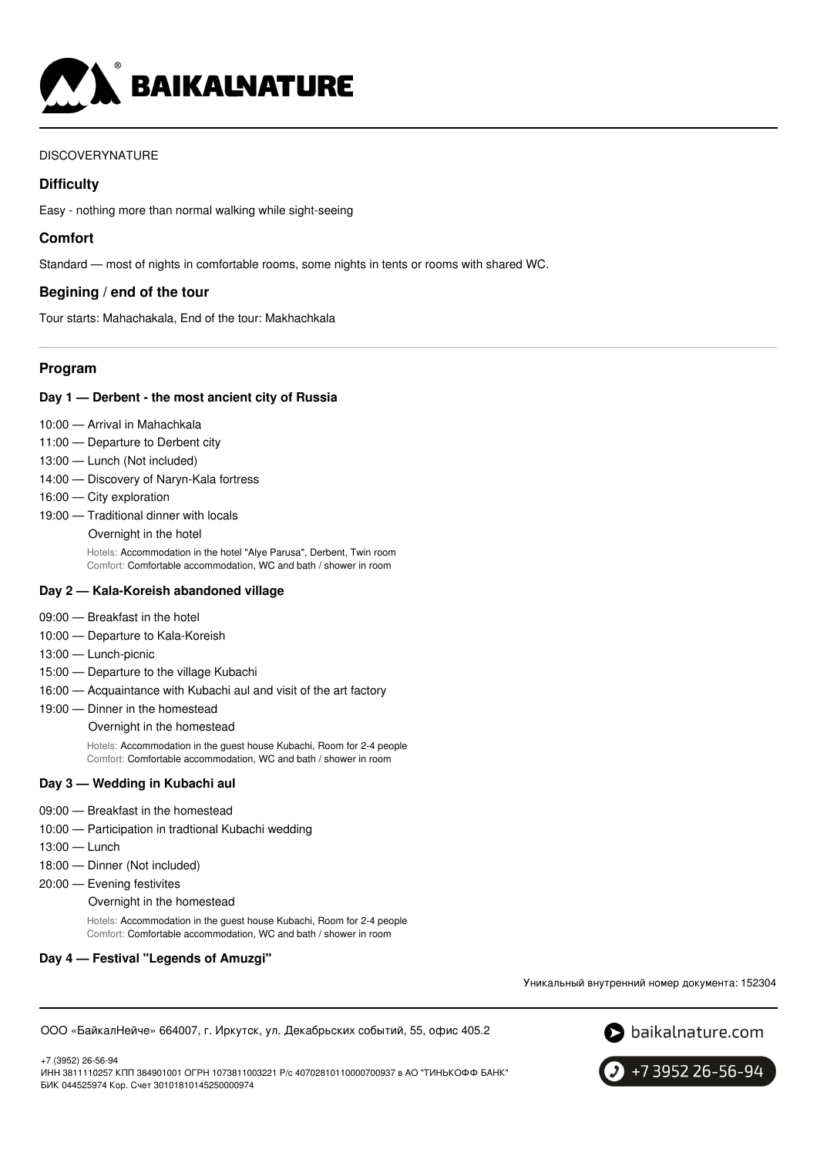

# DISCOVERYNATURE

# **Difficulty**

Easy - nothing more than normal walking while sight-seeing

# **Comfort**

Standard — most of nights in comfortable rooms, some nights in tents or rooms with shared WC.

# **Begining / end of the tour**

Tour starts: Mahachakala, End of the tour: Makhachkala

# **Program**

## **Day 1 — Derbent - the most ancient city of Russia**

- 10:00 Arrival in Mahachkala
- 11:00 Departure to Derbent city
- 13:00 Lunch (Not included)
- 14:00 Discovery of Naryn-Kala fortress
- 16:00 City exploration
- 19:00 Traditional dinner with locals
	- Overnight in the hotel

Hotels: Accommodation in the hotel "Alye Parusa", Derbent, Twin room Comfort: Comfortable accommodation, WC and bath / shower in room

#### **Day 2 — Kala-Koreish abandoned village**

- 09:00 Breakfast in the hotel
- 10:00 Departure to Kala-Koreish
- 13:00 Lunch-picnic
- 15:00 Departure to the village Kubachi
- 16:00 Acquaintance with Kubachi aul and visit of the art factory

#### 19:00 — Dinner in the homestead

Overnight in the homestead

Hotels: Accommodation in the guest house Kubachi, Room for 2-4 people Comfort: Comfortable accommodation, WC and bath / shower in room

#### **Day 3 — Wedding in Kubachi aul**

- 09:00 Breakfast in the homestead
- 10:00 Participation in tradtional Kubachi wedding
- 13:00 Lunch
- 18:00 Dinner (Not included)
- 20:00 Evening festivites

Overnight in the homestead

Hotels: Accommodation in the guest house Kubachi, Room for 2-4 people Comfort: Comfortable accommodation, WC and bath / shower in room

## **Day 4 — Festival "Legends of Amuzgi"**

Уникальный внутренний номер документа: 152304

ООО «БайкалНейче» 664007, г. Иркутск, ул. Декабрьских событий, 55, офис 405.2





+7 3952 26-56-94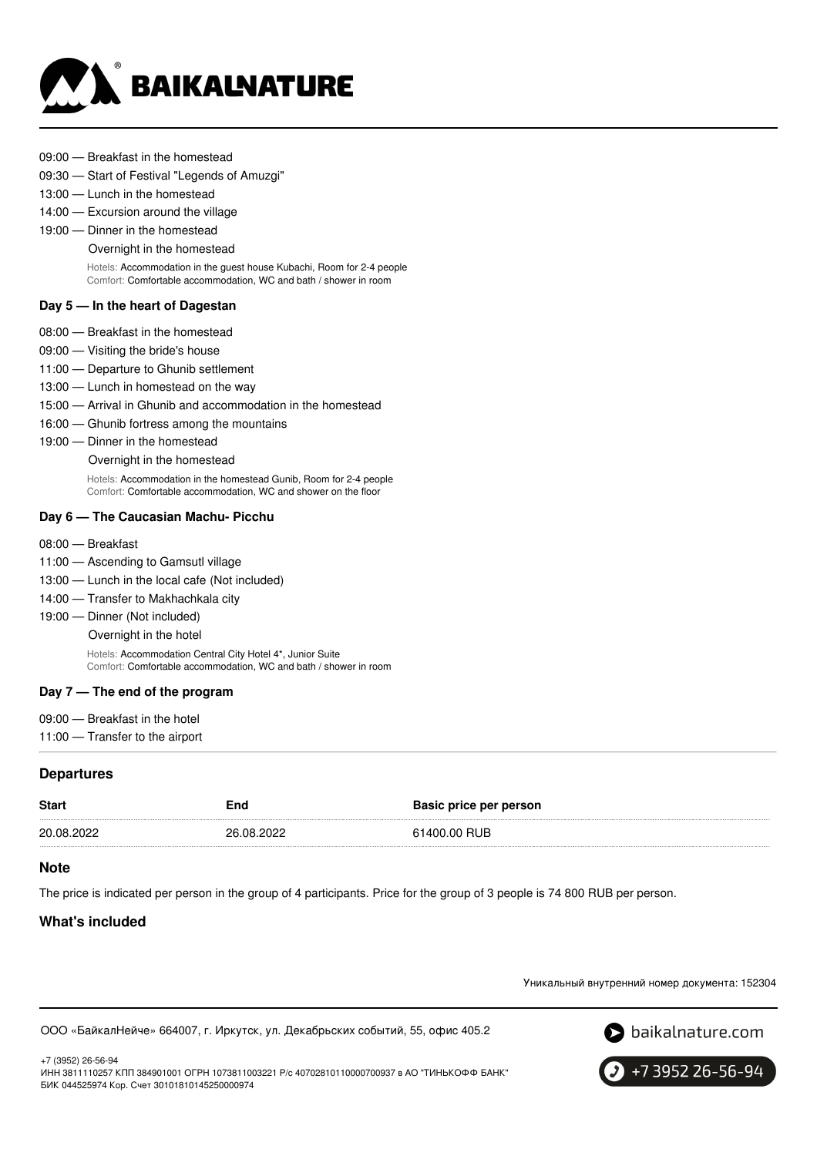

- 09:00 Breakfast in the homestead
- 09:30 Start of Festival "Legends of Amuzgi"
- 13:00 Lunch in the homestead
- 14:00 Excursion around the village
- 19:00 Dinner in the homestead

#### Overnight in the homestead

Hotels: Accommodation in the guest house Kubachi, Room for 2-4 people Comfort: Comfortable accommodation, WC and bath / shower in room

#### **Day 5 — In the heart of Dagestan**

- 08:00 Breakfast in the homestead
- 09:00 Visiting the bride's house
- 11:00 Departure to Ghunib settlement
- 13:00 Lunch in homestead on the way
- 15:00 Arrival in Ghunib and accommodation in the homestead
- 16:00 Ghunib fortress among the mountains
- 19:00 Dinner in the homestead

Overnight in the homestead

Hotels: Accommodation in the homestead Gunib, Room for 2-4 people Comfort: Comfortable accommodation, WC and shower on the floor

#### **Day 6 — The Caucasian Machu- Picchu**

- 08:00 Breakfast
- 11:00 Ascending to Gamsutl village
- 13:00 Lunch in the local cafe (Not included)
- 14:00 Transfer to Makhachkala city
- 19:00 Dinner (Not included)

Overnight in the hotel

Hotels: Accommodation Central City Hotel 4\*, Junior Suite Comfort: Comfortable accommodation, WC and bath / shower in room

#### **Day 7 — The end of the program**

- 09:00 Breakfast in the hotel
- 11:00 Transfer to the airport

## **Departures**

| <b>Start</b> | End        | Basic price per person |
|--------------|------------|------------------------|
| 20.08.2022   | 26.08.2022 | 61400.00 RUB           |

#### **Note**

The price is indicated per person in the group of 4 participants. Price for the group of 3 people is 74 800 RUB per person.

## **What's included**

+7 (3952) 26-56-94

Уникальный внутренний номер документа: 152304

ООО «БайкалНейче» 664007, г. Иркутск, ул. Декабрьских событий, 55, офис 405.2





ИНН 3811110257 КПП 384901001 ОГРН 1073811003221 Р/с 40702810110000700937 в АО "ТИНЬКОФФ БАНК" БИК 044525974 Кор. Счет 30101810145250000974